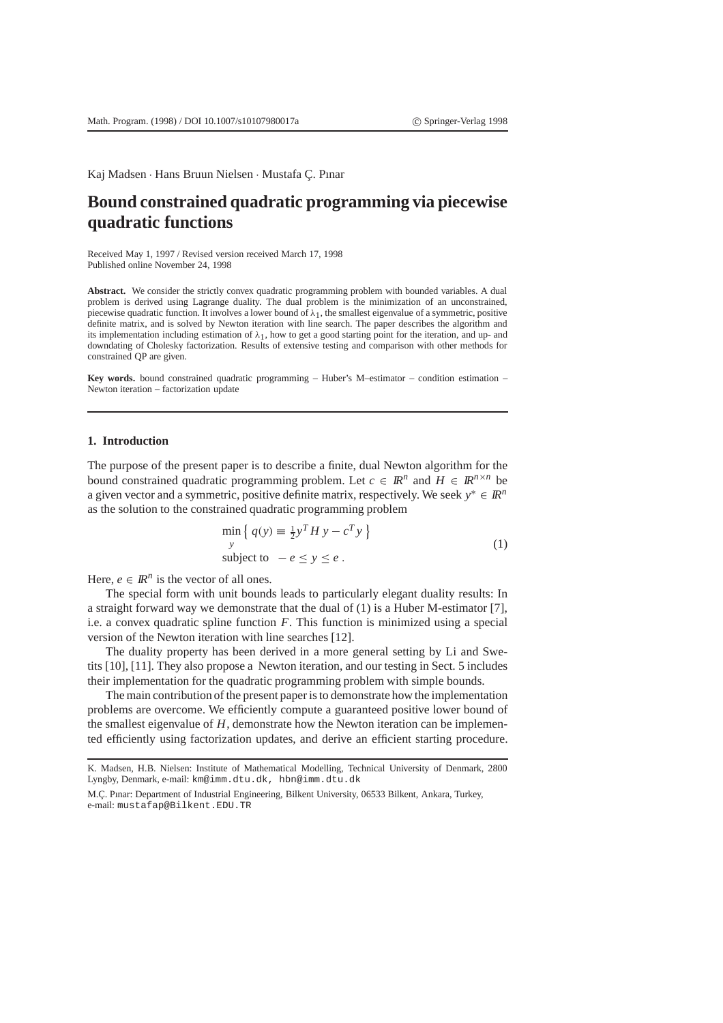Kaj Madsen · Hans Bruun Nielsen · Mustafa Ç. Pınar

# **Bound constrained quadratic programming via piecewise quadratic functions**

Received May 1, 1997 / Revised version received March 17, 1998 Published online November 24, 1998

**Abstract.** We consider the strictly convex quadratic programming problem with bounded variables. A dual problem is derived using Lagrange duality. The dual problem is the minimization of an unconstrained, piecewise quadratic function. It involves a lower bound of  $\lambda_1$ , the smallest eigenvalue of a symmetric, positive definite matrix, and is solved by Newton iteration with line search. The paper describes the algorithm and its implementation including estimation of  $\lambda_1$ , how to get a good starting point for the iteration, and up- and downdating of Cholesky factorization. Results of extensive testing and comparison with other methods for constrained QP are given.

**Key words.** bound constrained quadratic programming – Huber's M–estimator – condition estimation – Newton iteration – factorization update

# **1. Introduction**

The purpose of the present paper is to describe a finite, dual Newton algorithm for the bound constrained quadratic programming problem. Let  $c \in \mathbb{R}^n$  and  $H \in \mathbb{R}^{n \times n}$  be a given vector and a symmetric, positive definite matrix, respectively. We seek  $y^* \in \mathbb{R}^n$ as the solution to the constrained quadratic programming problem

$$
\min_{y} \left\{ q(y) \equiv \frac{1}{2} y^T H y - c^T y \right\}
$$
\n
$$
\text{subject to } -e \le y \le e \,.
$$
\n
$$
(1)
$$

Here,  $e \in \mathbb{R}^n$  is the vector of all ones.

The special form with unit bounds leads to particularly elegant duality results: In a straight forward way we demonstrate that the dual of (1) is a Huber M-estimator [7], i.e. a convex quadratic spline function *F*. This function is minimized using a special version of the Newton iteration with line searches [12].

The duality property has been derived in a more general setting by Li and Swetits [10], [11]. They also propose a Newton iteration, and our testing in Sect. 5 includes their implementation for the quadratic programming problem with simple bounds.

The main contribution of the present paper is to demonstrate how the implementation problems are overcome. We efficiently compute a guaranteed positive lower bound of the smallest eigenvalue of *H*, demonstrate how the Newton iteration can be implemented efficiently using factorization updates, and derive an efficient starting procedure.

K. Madsen, H.B. Nielsen: Institute of Mathematical Modelling, Technical University of Denmark, 2800 Lyngby, Denmark, e-mail: km@imm.dtu.dk, hbn@imm.dtu.dk

M.Ç. Pınar: Department of Industrial Engineering, Bilkent University, 06533 Bilkent, Ankara, Turkey, e-mail: mustafap@Bilkent.EDU.TR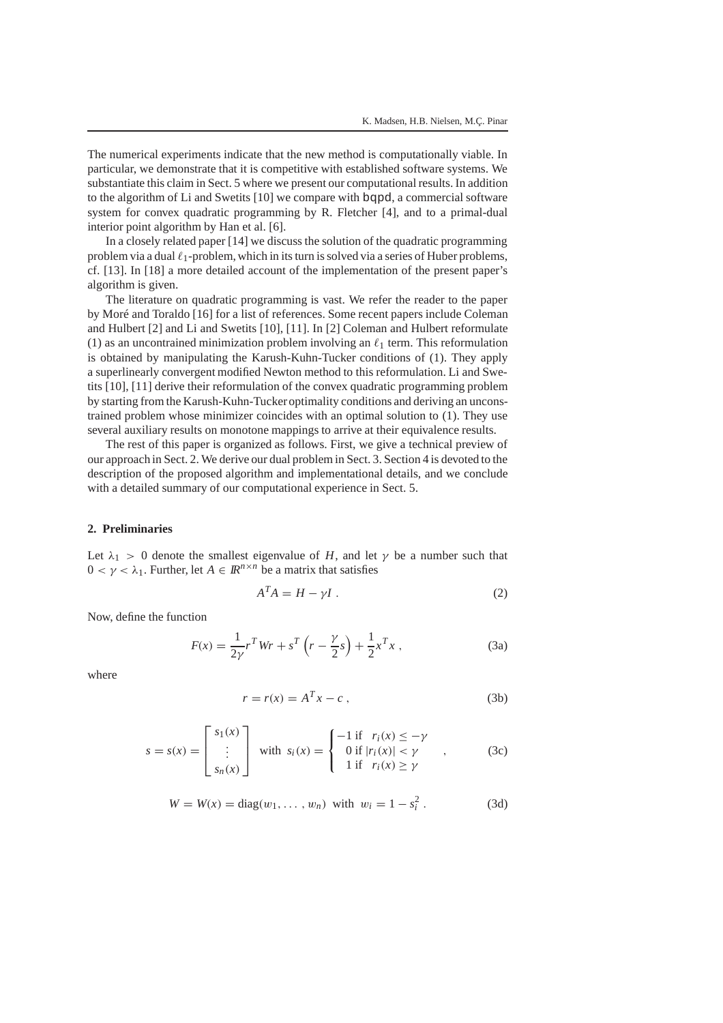The numerical experiments indicate that the new method is computationally viable. In particular, we demonstrate that it is competitive with established software systems. We substantiate this claim in Sect. 5 where we present our computational results. In addition to the algorithm of Li and Swetits [10] we compare with bqpd, a commercial software system for convex quadratic programming by R. Fletcher [4], and to a primal-dual interior point algorithm by Han et al. [6].

In a closely related paper [14] we discuss the solution of the quadratic programming problem via a dual  $\ell_1$ -problem, which in its turn is solved via a series of Huber problems, cf. [13]. In [18] a more detailed account of the implementation of the present paper's algorithm is given.

The literature on quadratic programming is vast. We refer the reader to the paper by Moré and Toraldo [16] for a list of references. Some recent papers include Coleman and Hulbert [2] and Li and Swetits [10], [11]. In [2] Coleman and Hulbert reformulate (1) as an uncontrained minimization problem involving an  $\ell_1$  term. This reformulation is obtained by manipulating the Karush-Kuhn-Tucker conditions of (1). They apply a superlinearly convergent modified Newton method to this reformulation. Li and Swetits [10], [11] derive their reformulation of the convex quadratic programming problem by starting from the Karush-Kuhn-Tucker optimality conditions and deriving an unconstrained problem whose minimizer coincides with an optimal solution to (1). They use several auxiliary results on monotone mappings to arrive at their equivalence results.

The rest of this paper is organized as follows. First, we give a technical preview of our approach in Sect. 2. We derive our dual problem in Sect. 3. Section 4 is devoted to the description of the proposed algorithm and implementational details, and we conclude with a detailed summary of our computational experience in Sect. 5.

# **2. Preliminaries**

Let  $\lambda_1 > 0$  denote the smallest eigenvalue of *H*, and let  $\gamma$  be a number such that  $0 < \gamma < \lambda_1$ . Further, let  $A \in \mathbb{R}^{n \times n}$  be a matrix that satisfies

$$
A^T A = H - \gamma I \tag{2}
$$

Now, define the function

$$
F(x) = \frac{1}{2\gamma} r^T W r + s^T \left( r - \frac{\gamma}{2} s \right) + \frac{1}{2} x^T x , \qquad (3a)
$$

where

$$
r = r(x) = A^T x - c \tag{3b}
$$

$$
s = s(x) = \begin{bmatrix} s_1(x) \\ \vdots \\ s_n(x) \end{bmatrix} \text{ with } s_i(x) = \begin{cases} -1 \text{ if } r_i(x) \le -\gamma \\ 0 \text{ if } |r_i(x)| < \gamma \\ 1 \text{ if } r_i(x) \ge \gamma \end{cases}, \quad (3c)
$$

$$
W = W(x) = diag(w_1, ..., w_n) \text{ with } w_i = 1 - s_i^2. \tag{3d}
$$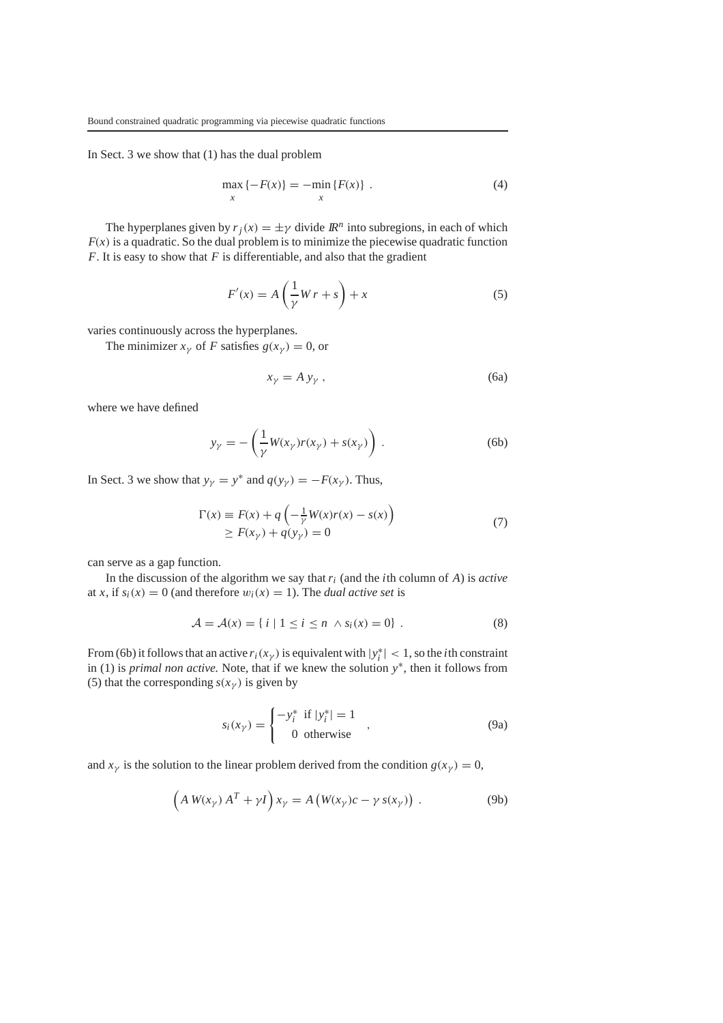In Sect. 3 we show that (1) has the dual problem

$$
\max_{x} \{-F(x)\} = -\min_{x} \{F(x)\} . \tag{4}
$$

The hyperplanes given by  $r_i(x) = \pm \gamma$  divide  $\mathbb{R}^n$  into subregions, in each of which  $F(x)$  is a quadratic. So the dual problem is to minimize the piecewise quadratic function *F*. It is easy to show that *F* is differentiable, and also that the gradient

$$
F'(x) = A\left(\frac{1}{\gamma}Wr + s\right) + x\tag{5}
$$

varies continuously across the hyperplanes.

The minimizer  $x_{\gamma}$  of *F* satisfies  $g(x_{\gamma}) = 0$ , or

$$
x_{\gamma} = A y_{\gamma} , \qquad (6a)
$$

where we have defined

$$
y_{\gamma} = -\left(\frac{1}{\gamma}W(x_{\gamma})r(x_{\gamma}) + s(x_{\gamma})\right). \tag{6b}
$$

In Sect. 3 we show that  $y_{\gamma} = y^*$  and  $q(y_{\gamma}) = -F(x_{\gamma})$ . Thus,

$$
\Gamma(x) \equiv F(x) + q\left(-\frac{1}{\gamma}W(x)r(x) - s(x)\right)
$$
  
\n
$$
\geq F(x_{\gamma}) + q(y_{\gamma}) = 0
$$
\n(7)

can serve as a gap function.

In the discussion of the algorithm we say that *ri* (and the *i*th column of *A*) is *active* at *x*, if  $s_i(x) = 0$  (and therefore  $w_i(x) = 1$ ). The *dual active set* is

$$
\mathcal{A} = \mathcal{A}(x) = \{ i \mid 1 \le i \le n \land s_i(x) = 0 \} . \tag{8}
$$

From (6b) it follows that an active  $r_i(x_\gamma)$  is equivalent with  $|y_i^*| < 1$ , so the *i*th constraint in (1) is *primal non active.* Note, that if we knew the solution *y*∗, then it follows from (5) that the corresponding  $s(x<sub>\gamma</sub>)$  is given by

$$
s_i(x_{\gamma}) = \begin{cases} -y_i^* & \text{if } |y_i^*| = 1\\ 0 & \text{otherwise} \end{cases}
$$
 (9a)

and  $x<sub>y</sub>$  is the solution to the linear problem derived from the condition  $g(x<sub>y</sub>) = 0$ ,

$$
\left(A W(x_{\gamma}) A^T + \gamma I\right) x_{\gamma} = A \left(W(x_{\gamma}) c - \gamma s(x_{\gamma})\right) . \tag{9b}
$$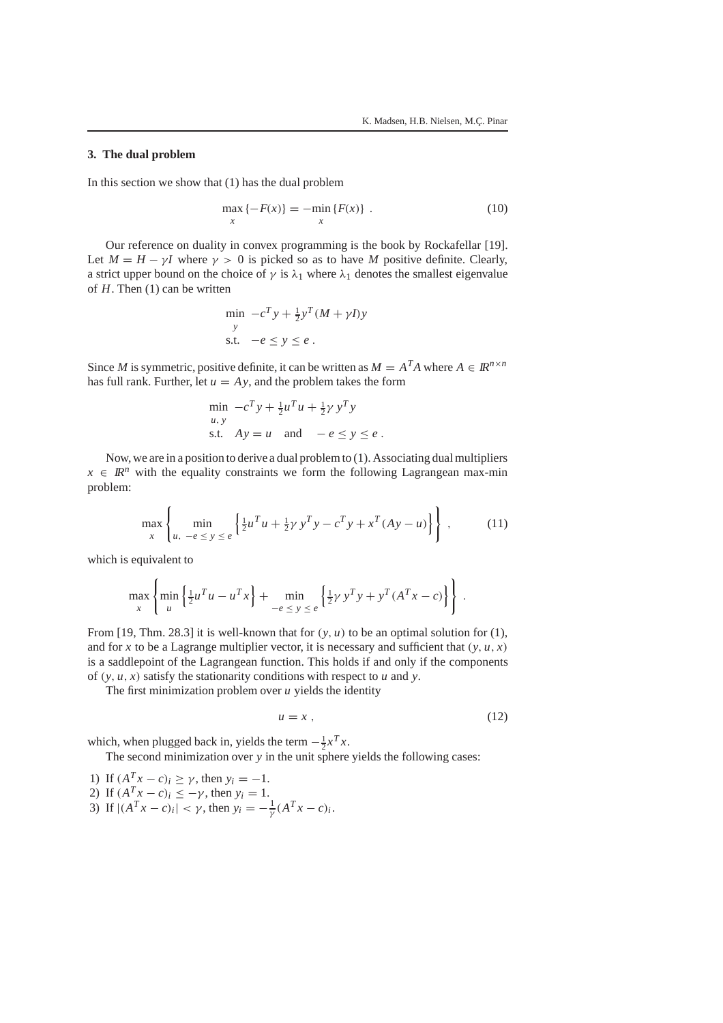$\lambda$ 

# **3. The dual problem**

In this section we show that (1) has the dual problem

$$
\max_{x} \{-F(x)\} = -\min_{x} \{F(x)\} .
$$
 (10)

Our reference on duality in convex programming is the book by Rockafellar [19]. Let  $M = H - \gamma I$  where  $\gamma > 0$  is picked so as to have *M* positive definite. Clearly, a strict upper bound on the choice of  $\gamma$  is  $\lambda_1$  where  $\lambda_1$  denotes the smallest eigenvalue of *H*. Then (1) can be written

$$
\min_{y} -c^T y + \frac{1}{2} y^T (M + \gamma I) y
$$
  
 
$$
\text{s.t.} \quad -e \le y \le e \, .
$$

Since *M* is symmetric, positive definite, it can be written as  $M = A^T A$  where  $A \in \mathbb{R}^{n \times n}$ has full rank. Further, let  $u = Ay$ , and the problem takes the form

$$
\min_{u, y} -c^T y + \frac{1}{2} u^T u + \frac{1}{2} \gamma y^T y
$$
\ns.t.

\n
$$
Ay = u \quad \text{and} \quad -e \le y \le e
$$

Now, we are in a position to derive a dual problem to (1). Associating dual multipliers  $x \in \mathbb{R}^n$  with the equality constraints we form the following Lagrangean max-min problem:

$$
\max_{x} \left\{ \min_{u, -e \le y \le e} \left\{ \frac{1}{2} u^T u + \frac{1}{2} y y^T y - c^T y + x^T (Ay - u) \right\} \right\},
$$
 (11)

which is equivalent to

 $\lambda$ 

$$
\max_{x} \left\{ \min_{u} \left\{ \frac{1}{2} u^{T} u - u^{T} x \right\} + \min_{-\infty \le y \le e} \left\{ \frac{1}{2} \gamma y^{T} y + y^{T} (A^{T} x - c) \right\} \right\}.
$$

From [19, Thm. 28.3] it is well-known that for  $(y, u)$  to be an optimal solution for  $(1)$ , and for *x* to be a Lagrange multiplier vector, it is necessary and sufficient that  $(y, u, x)$ is a saddlepoint of the Lagrangean function. This holds if and only if the components of  $(y, u, x)$  satisfy the stationarity conditions with respect to *u* and *y*.

The first minimization problem over *u* yields the identity

$$
u = x \tag{12}
$$

which, when plugged back in, yields the term  $-\frac{1}{2}x^Tx$ .

The second minimization over *y* in the unit sphere yields the following cases:

1) If  $(A^Tx - c)_i \ge \gamma$ , then  $y_i = -1$ . 2) If  $(A^T x - c)_i \leq -\gamma$ , then  $y_i = 1$ . 3) If  $|(A^Tx - c)_i| < \gamma$ , then  $y_i = -\frac{1}{\gamma}(A^Tx - c)_i$ .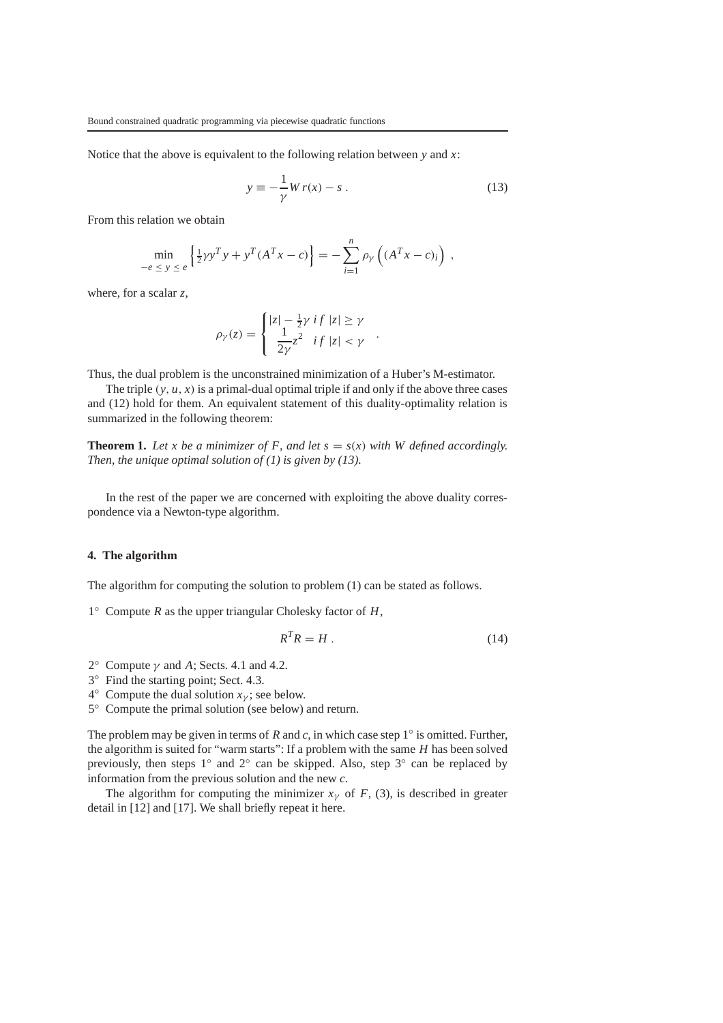Notice that the above is equivalent to the following relation between *y* and *x*:

$$
y \equiv -\frac{1}{\gamma}Wr(x) - s \,. \tag{13}
$$

From this relation we obtain

$$
\min_{-e \le y \le e} \left\{ \frac{1}{2} \gamma y^T y + y^T (A^T x - c) \right\} = - \sum_{i=1}^n \rho_{\gamma} \left( (A^T x - c)_i \right) ,
$$

where, for a scalar *z*,

$$
\rho_{\gamma}(z) = \begin{cases} |z| - \frac{1}{2}\gamma \, if \, |z| \geq \gamma \\ \frac{1}{2\gamma} z^2 \, if \, |z| < \gamma \end{cases}.
$$

Thus, the dual problem is the unconstrained minimization of a Huber's M-estimator.

The triple  $(y, u, x)$  is a primal-dual optimal triple if and only if the above three cases and (12) hold for them. An equivalent statement of this duality-optimality relation is summarized in the following theorem:

**Theorem 1.** Let *x* be a minimizer of F, and let  $s = s(x)$  with W defined accordingly. *Then, the unique optimal solution of (1) is given by (13).*

In the rest of the paper we are concerned with exploiting the above duality correspondence via a Newton-type algorithm.

# **4. The algorithm**

The algorithm for computing the solution to problem (1) can be stated as follows.

1◦ Compute *R* as the upper triangular Cholesky factor of *H*,

$$
R^T R = H \tag{14}
$$

- 2 $^{\circ}$  Compute  $\gamma$  and A; Sects. 4.1 and 4.2.
- 3◦ Find the starting point; Sect. 4.3.

4<sup>°</sup> Compute the dual solution  $x<sub>v</sub>$ ; see below.

5◦ Compute the primal solution (see below) and return.

The problem may be given in terms of *R* and *c*, in which case step 1◦ is omitted. Further, the algorithm is suited for "warm starts": If a problem with the same *H* has been solved previously, then steps 1◦ and 2◦ can be skipped. Also, step 3◦ can be replaced by information from the previous solution and the new *c*.

The algorithm for computing the minimizer  $x<sub>y</sub>$  of *F*, (3), is described in greater detail in [12] and [17]. We shall briefly repeat it here.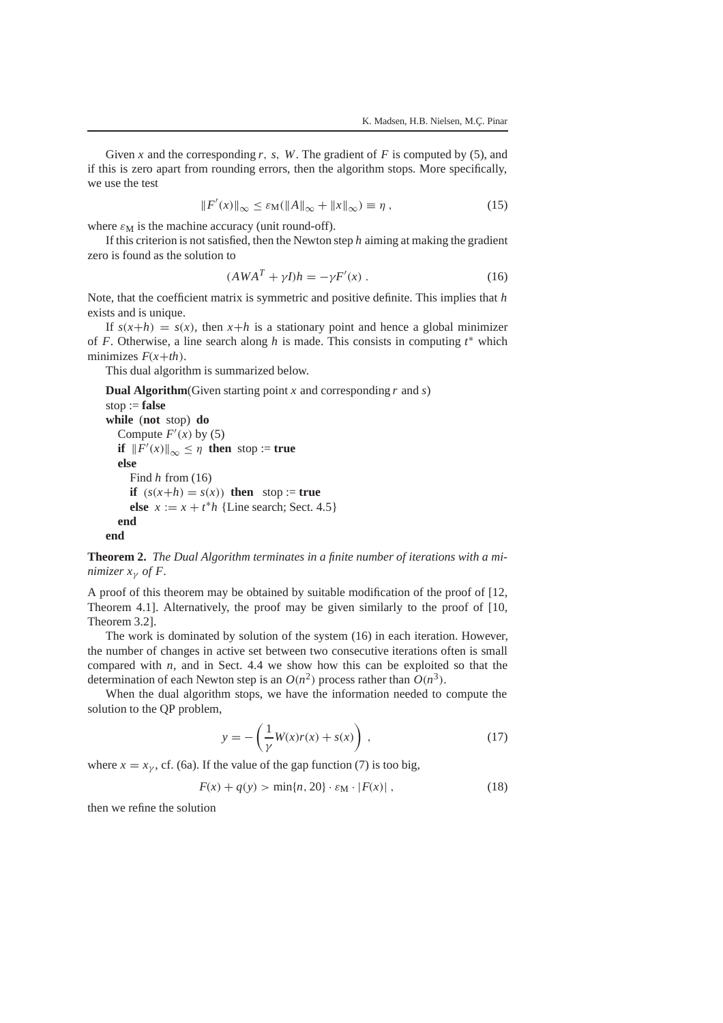Given *x* and the corresponding *r*, *s*, *W*. The gradient of *F* is computed by (5), and if this is zero apart from rounding errors, then the algorithm stops. More specifically, we use the test

$$
||F'(x)||_{\infty} \le \varepsilon_{\mathbf{M}}(||A||_{\infty} + ||x||_{\infty}) \equiv \eta ,
$$
\n(15)

where  $\varepsilon_M$  is the machine accuracy (unit round-off).

If this criterion is not satisfied, then the Newton step *h* aiming at making the gradient zero is found as the solution to

$$
(AWAT + \gamma I)h = -\gamma F'(x) . \qquad (16)
$$

Note, that the coefficient matrix is symmetric and positive definite. This implies that *h* exists and is unique.

If  $s(x+h) = s(x)$ , then  $x+h$  is a stationary point and hence a global minimizer of *F*. Otherwise, a line search along *h* is made. This consists in computing  $t^*$  which minimizes  $F(x+th)$ .

This dual algorithm is summarized below.

**Dual Algorithm**(Given starting point  $x$  and corresponding  $r$  and  $s$ )

```
stop := false
while (not stop) do
  Compute F'(x) by (5)
  if ||F'(x)||_{\infty} \leq \eta then stop := true
  else
    Find h from (16)
    if (s(x+h) = s(x)) then stop := true
     else x := x + t^*h {Line search; Sect. 4.5}
  end
end
```
**Theorem 2.** *The Dual Algorithm terminates in a finite number of iterations with a minimizer*  $x_{\gamma}$  *of*  $F$ .

A proof of this theorem may be obtained by suitable modification of the proof of [12, Theorem 4.1]. Alternatively, the proof may be given similarly to the proof of [10, Theorem 3.2].

The work is dominated by solution of the system (16) in each iteration. However, the number of changes in active set between two consecutive iterations often is small compared with *n*, and in Sect. 4.4 we show how this can be exploited so that the determination of each Newton step is an  $O(n^2)$  process rather than  $O(n^3)$ .

When the dual algorithm stops, we have the information needed to compute the solution to the QP problem,

$$
y = -\left(\frac{1}{\gamma}W(x)r(x) + s(x)\right),\tag{17}
$$

where  $x = x<sub>y</sub>$ , cf. (6a). If the value of the gap function (7) is too big,

$$
F(x) + q(y) > \min\{n, 20\} \cdot \varepsilon_{\mathbf{M}} \cdot |F(x)| \,, \tag{18}
$$

then we refine the solution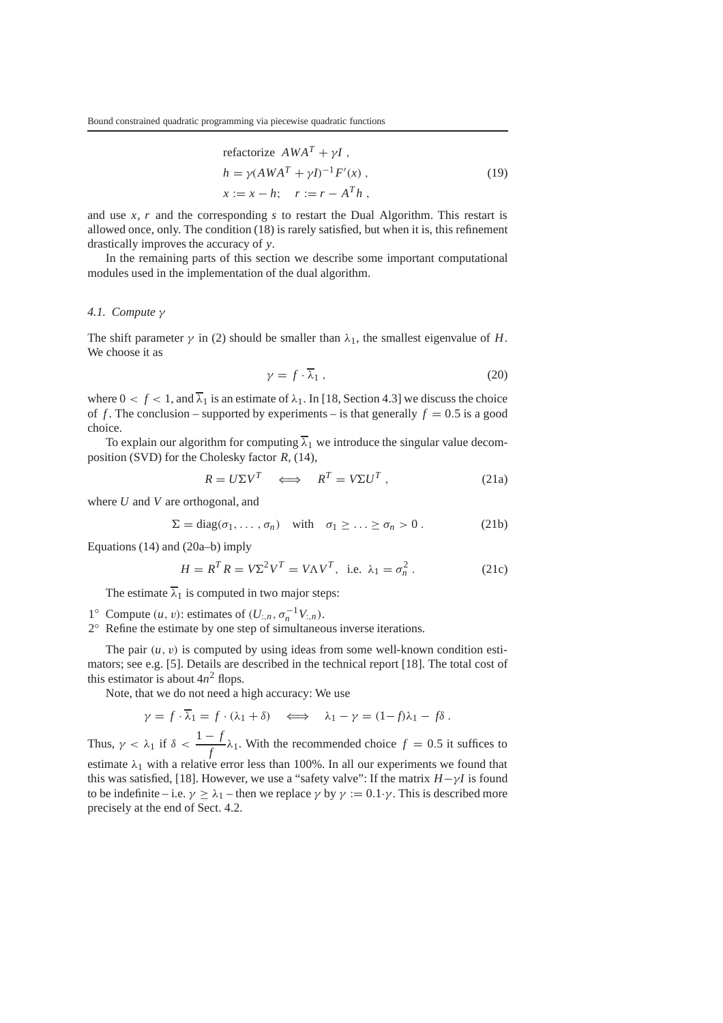refactorize 
$$
AWA^T + \gamma I
$$
,  
\n
$$
h = \gamma (AWA^T + \gamma I)^{-1} F'(x),
$$
\n
$$
x := x - h; \quad r := r - A^T h,
$$
\n(19)

and use *x*, *r* and the corresponding *s* to restart the Dual Algorithm. This restart is allowed once, only. The condition (18) is rarely satisfied, but when it is, this refinement drastically improves the accuracy of *y*.

In the remaining parts of this section we describe some important computational modules used in the implementation of the dual algorithm.

## *4.1. Compute* γ

The shift parameter  $\gamma$  in (2) should be smaller than  $\lambda_1$ , the smallest eigenvalue of *H*. We choose it as

$$
\gamma = f \cdot \overline{\lambda}_1 \,, \tag{20}
$$

where  $0 < f < 1$ , and  $\overline{\lambda}_1$  is an estimate of  $\lambda_1$ . In [18, Section 4.3] we discuss the choice of *f*. The conclusion – supported by experiments – is that generally  $f = 0.5$  is a good choice.

To explain our algorithm for computing  $\overline{\lambda}_1$  we introduce the singular value decomposition (SVD) for the Cholesky factor *R*, (14),

$$
R = U\Sigma V^T \iff R^T = V\Sigma U^T, \tag{21a}
$$

where *U* and *V* are orthogonal, and

$$
\Sigma = \text{diag}(\sigma_1, \ldots, \sigma_n) \quad \text{with} \quad \sigma_1 \geq \ldots \geq \sigma_n > 0 \,. \tag{21b}
$$

Equations (14) and (20a–b) imply

$$
H = R^T R = V\Sigma^2 V^T = V\Lambda V^T, \text{ i.e. } \lambda_1 = \sigma_n^2. \tag{21c}
$$

The estimate  $\overline{\lambda}_1$  is computed in two major steps:

- 1<sup>○</sup> Compute (*u*, *v*): estimates of (*U*<sub>:*n*</sub>,  $σ<sub>n</sub><sup>-1</sup> V$ <sub>:*n*</sub>).
- 2◦ Refine the estimate by one step of simultaneous inverse iterations.

The pair  $(u, v)$  is computed by using ideas from some well-known condition estimators; see e.g. [5]. Details are described in the technical report [18]. The total cost of this estimator is about  $4n^2$  flops.

Note, that we do not need a high accuracy: We use

$$
\gamma = f \cdot \overline{\lambda}_1 = f \cdot (\lambda_1 + \delta) \iff \lambda_1 - \gamma = (1 - f)\lambda_1 - f\delta.
$$
  
Thus,  $\gamma < \lambda_1$  if  $\delta < \frac{1 - f}{f} \lambda_1$ . With the recommended choice  $f = 0.5$  it suffices to

estimate  $\lambda_1$  with a relative error less than 100%. In all our experiments we found that this was satisfied, [18]. However, we use a "safety valve": If the matrix  $H - \gamma I$  is found to be indefinite – i.e.  $\gamma \ge \lambda_1$  – then we replace  $\gamma$  by  $\gamma := 0.1 \cdot \gamma$ . This is described more precisely at the end of Sect. 4.2.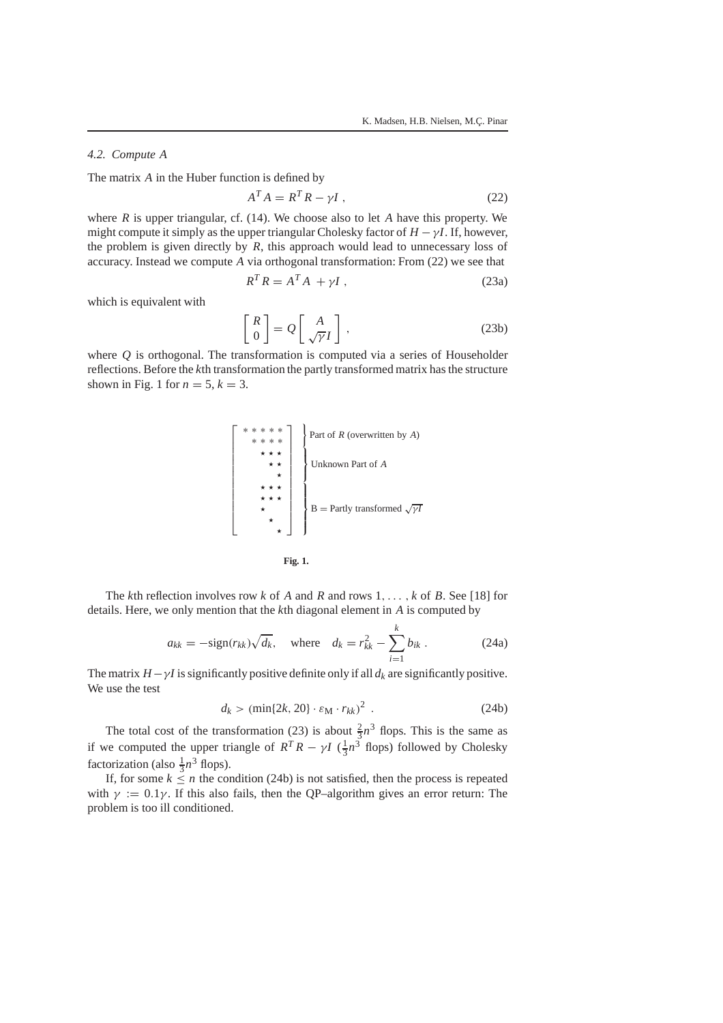# *4.2. Compute A*

The matrix *A* in the Huber function is defined by

$$
A^T A = R^T R - \gamma I \tag{22}
$$

where *R* is upper triangular, cf. (14). We choose also to let *A* have this property. We might compute it simply as the upper triangular Cholesky factor of  $H - \gamma I$ . If, however, the problem is given directly by *R*, this approach would lead to unnecessary loss of accuracy. Instead we compute *A* via orthogonal transformation: From (22) we see that

$$
R^T R = A^T A + \gamma I \tag{23a}
$$

which is equivalent with

$$
\begin{bmatrix} R \\ 0 \end{bmatrix} = Q \begin{bmatrix} A \\ \sqrt{\gamma}I \end{bmatrix}, \qquad (23b)
$$

where *Q* is orthogonal. The transformation is computed via a series of Householder reflections. Before the *k*th transformation the partly transformed matrix has the structure shown in Fig. 1 for  $n = 5$ ,  $k = 3$ .





The *k*th reflection involves row *k* of *A* and *R* and rows 1,... , *k* of *B*. See [18] for details. Here, we only mention that the *k*th diagonal element in *A* is computed by

$$
a_{kk} = -\text{sign}(r_{kk})\sqrt{d_k}, \quad \text{where} \quad d_k = r_{kk}^2 - \sum_{i=1}^k b_{ik} \,. \tag{24a}
$$

The matrix  $H - \gamma I$  is significantly positive definite only if all  $d_k$  are significantly positive. We use the test

$$
d_k > (\min\{2k, 20\} \cdot \varepsilon_{\mathbf{M}} \cdot r_{kk})^2 \tag{24b}
$$

The total cost of the transformation (23) is about  $\frac{2}{3}n^3$  flops. This is the same as if we computed the upper triangle of  $R^T R - \gamma I \left(\frac{1}{3}n^3 \right)$  flops) followed by Cholesky factorization (also  $\frac{1}{3}n^3$  flops).

If, for some  $k \leq n$  the condition (24b) is not satisfied, then the process is repeated with  $\gamma := 0.1\gamma$ . If this also fails, then the QP–algorithm gives an error return: The problem is too ill conditioned.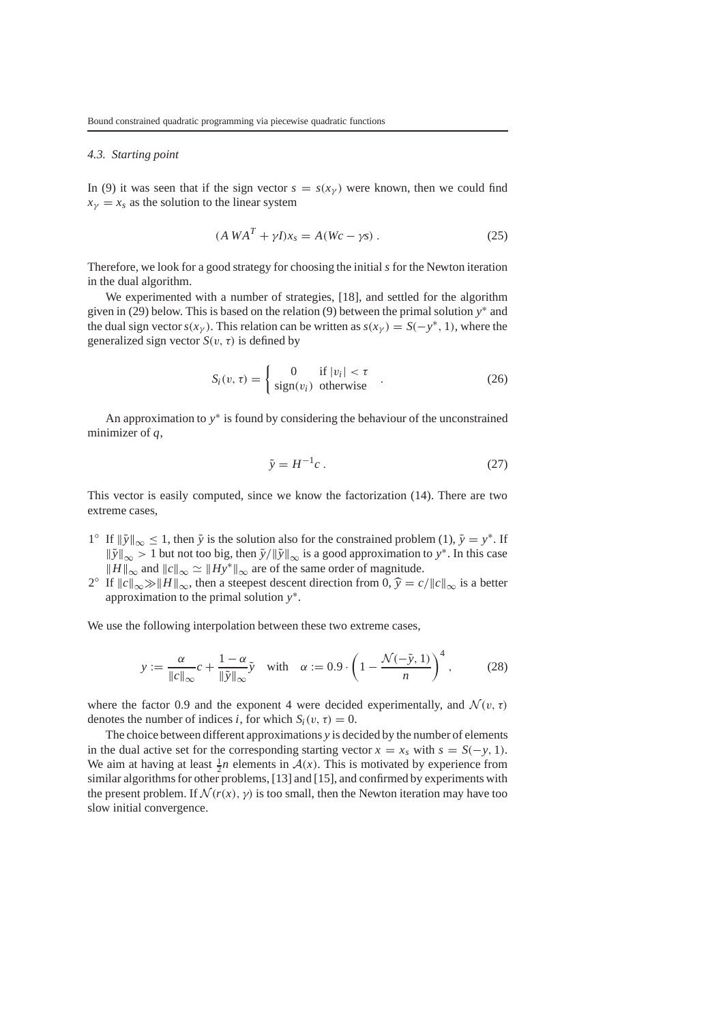## *4.3. Starting point*

In (9) it was seen that if the sign vector  $s = s(x<sub>\gamma</sub>)$  were known, then we could find  $x<sub>V</sub> = x<sub>s</sub>$  as the solution to the linear system

$$
(A WAT + \gamma I)xs = A(Wc - \gamma s) . \qquad (25)
$$

Therefore, we look for a good strategy for choosing the initial *s* for the Newton iteration in the dual algorithm.

We experimented with a number of strategies, [18], and settled for the algorithm given in (29) below. This is based on the relation (9) between the primal solution *y*<sup>∗</sup> and the dual sign vector  $s(x<sub>y</sub>)$ . This relation can be written as  $s(x<sub>y</sub>) = S(-y<sup>*</sup>, 1)$ , where the generalized sign vector  $S(v, \tau)$  is defined by

$$
S_i(v, \tau) = \begin{cases} 0 & \text{if } |v_i| < \tau \\ \text{sign}(v_i) & \text{otherwise} \end{cases} .
$$
 (26)

An approximation to *y*<sup>∗</sup> is found by considering the behaviour of the unconstrained minimizer of *q*,

$$
\tilde{y} = H^{-1}c. \tag{27}
$$

This vector is easily computed, since we know the factorization (14). There are two extreme cases,

- $1°$  If  $\|\tilde{y}\|_{\infty} \leq 1$ , then  $\tilde{y}$  is the solution also for the constrained problem (1),  $\tilde{y} = y^*$ . If *|y*<sup>*y*</sup><sub>|∞</sub> > 1 but not too big, then  $\tilde{y}/\|\tilde{y}\|_{\infty}$  is a good approximation to *y*<sup>∗</sup>. In this case  $||H||_{\infty}$  and  $||c||_{\infty} \simeq ||Hy^*||_{\infty}$  are of the same order of magnitude.
- 2<sup>°</sup> If  $||c||_{\infty} \gg ||H||_{\infty}$ , then a steepest descent direction from 0,  $\hat{y} = c/||c||_{\infty}$  is a better approximation to the primal solution *y*∗.

We use the following interpolation between these two extreme cases,

$$
y := \frac{\alpha}{\|c\|_{\infty}} c + \frac{1-\alpha}{\|\tilde{y}\|_{\infty}} \tilde{y} \quad \text{with} \quad \alpha := 0.9 \cdot \left(1 - \frac{\mathcal{N}(-\tilde{y}, 1)}{n}\right)^4, \tag{28}
$$

where the factor 0.9 and the exponent 4 were decided experimentally, and  $\mathcal{N}(v, \tau)$ denotes the number of indices *i*, for which  $S_i(v, \tau) = 0$ .

The choice between different approximations *y* is decided by the number of elements in the dual active set for the corresponding starting vector  $x = x_s$  with  $s = S(-y, 1)$ . We aim at having at least  $\frac{1}{2}n$  elements in  $A(x)$ . This is motivated by experience from similar algorithms for other problems, [13] and [15], and confirmed by experiments with the present problem. If  $\mathcal{N}(r(x), y)$  is too small, then the Newton iteration may have too slow initial convergence.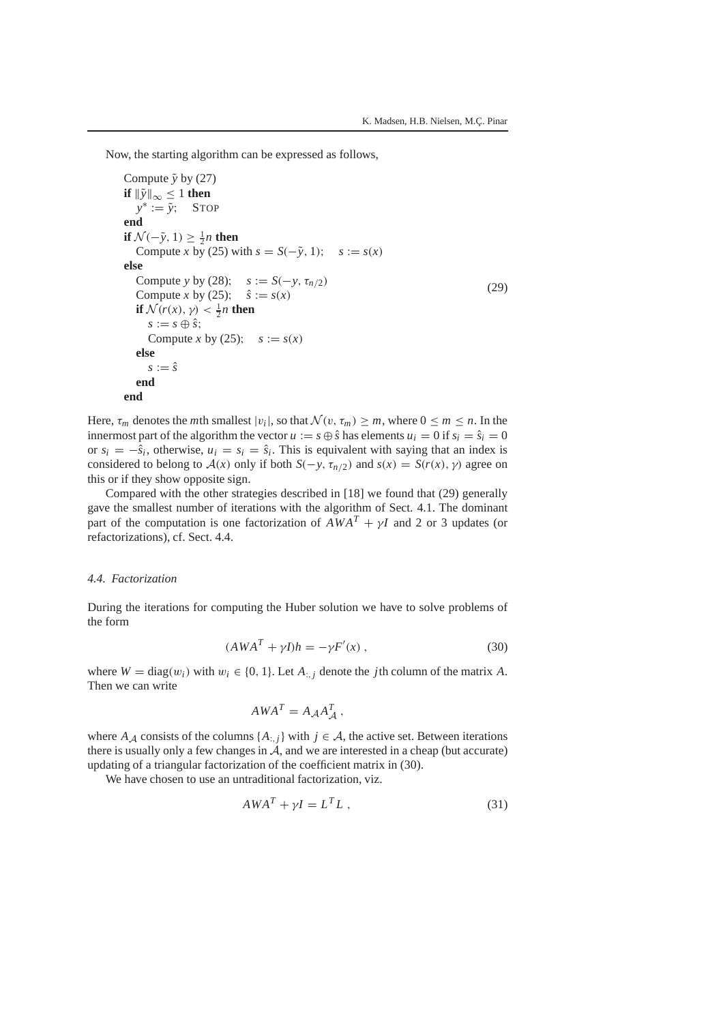Now, the starting algorithm can be expressed as follows,

```
Compute \tilde{y} by (27)
if \|\tilde{y}\|_{\infty} \leq 1 then
  y<sup>∗</sup> := \tilde{v}; STOP
end
if N(-\tilde{y}, 1) \ge \frac{1}{2}n then
   Compute x by (25) with s = S(-\tilde{y}, 1); s := s(x)else
   Compute y by (28); s := S(-y, \tau_{n/2})Compute x by (25); \hat{s} := s(x)if \mathcal{N}(r(x), \gamma) < \frac{1}{2}n then
      s := s \oplus \hat{s};
      Compute x by (25); s := s(x)else
      s := \hat{s}end
end
                                                                                                   (29)
```
Here,  $\tau_m$  denotes the *m*th smallest  $|v_i|$ , so that  $\mathcal{N}(v, \tau_m) \geq m$ , where  $0 \leq m \leq n$ . In the innermost part of the algorithm the vector  $u := s \oplus \hat{s}$  has elements  $u_i = 0$  if  $s_i = \hat{s}_i = 0$ or  $s_i = -\hat{s}_i$ , otherwise,  $u_i = s_i = \hat{s}_i$ . This is equivalent with saying that an index is considered to belong to  $A(x)$  only if both  $S(-y, \tau_{n/2})$  and  $s(x) = S(r(x), y)$  agree on this or if they show opposite sign.

Compared with the other strategies described in [18] we found that (29) generally gave the smallest number of iterations with the algorithm of Sect. 4.1. The dominant part of the computation is one factorization of  $AWA^T + \gamma I$  and 2 or 3 updates (or refactorizations), cf. Sect. 4.4.

# *4.4. Factorization*

During the iterations for computing the Huber solution we have to solve problems of the form

$$
(AWAT + \gamma I)h = -\gamma F'(x) , \qquad (30)
$$

where  $W = \text{diag}(w_i)$  with  $w_i \in \{0, 1\}$ . Let  $A_{\cdot,i}$  denote the *j*th column of the matrix *A*. Then we can write

$$
AWA^T = A_{\mathcal{A}}A_{\mathcal{A}}^T,
$$

where  $A_A$  consists of the columns  $\{A_{\cdot,j}\}\$  with  $j \in A$ , the active set. Between iterations there is usually only a few changes in  $\hat{A}$ , and we are interested in a cheap (but accurate) updating of a triangular factorization of the coefficient matrix in (30).

We have chosen to use an untraditional factorization, viz.

$$
AWAT + \gamma I = LTL , \qquad (31)
$$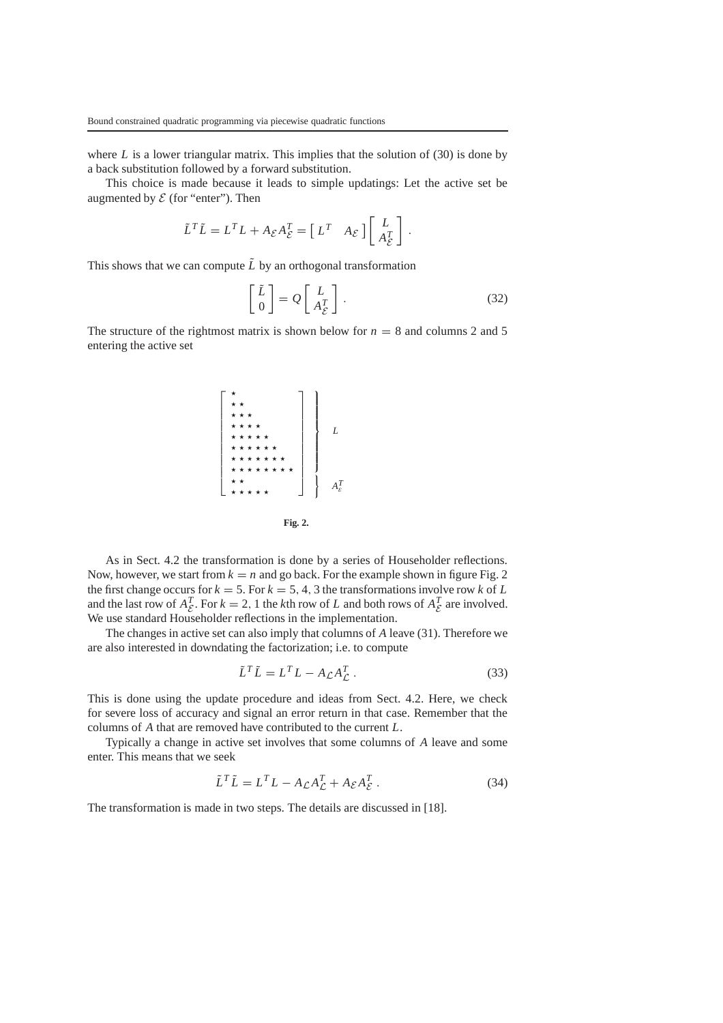where  $L$  is a lower triangular matrix. This implies that the solution of  $(30)$  is done by a back substitution followed by a forward substitution.

This choice is made because it leads to simple updatings: Let the active set be augmented by  $\mathcal E$  (for "enter"). Then

$$
\tilde{L}^T \tilde{L} = L^T L + A_{\mathcal{E}} A_{\mathcal{E}}^T = \begin{bmatrix} L^T & A_{\mathcal{E}} \end{bmatrix} \begin{bmatrix} L \\ A_{\mathcal{E}}^T \end{bmatrix}
$$

This shows that we can compute  $\tilde{L}$  by an orthogonal transformation

$$
\begin{bmatrix} \tilde{L} \\ 0 \end{bmatrix} = Q \begin{bmatrix} L \\ A_{\mathcal{E}}^T \end{bmatrix} .
$$
 (32)

.

The structure of the rightmost matrix is shown below for  $n = 8$  and columns 2 and 5 entering the active set



As in Sect. 4.2 the transformation is done by a series of Householder reflections. Now, however, we start from  $k = n$  and go back. For the example shown in figure Fig. 2 the first change occurs for  $k = 5$ . For  $k = 5, 4, 3$  the transformations involve row k of L and the last row of  $A_{\mathcal{E}}^T$ . For  $k = 2, 1$  the *k*th row of *L* and both rows of  $A_{\mathcal{E}}^T$  are involved. We use standard Householder reflections in the implementation.

The changes in active set can also imply that columns of *A* leave (31). Therefore we are also interested in downdating the factorization; i.e. to compute

$$
\tilde{L}^T \tilde{L} = L^T L - A_{\mathcal{L}} A_{\mathcal{L}}^T.
$$
\n(33)

This is done using the update procedure and ideas from Sect. 4.2. Here, we check for severe loss of accuracy and signal an error return in that case. Remember that the columns of *A* that are removed have contributed to the current *L*.

Typically a change in active set involves that some columns of *A* leave and some enter. This means that we seek

$$
\tilde{L}^T \tilde{L} = L^T L - A_{\mathcal{L}} A_{\mathcal{L}}^T + A_{\mathcal{E}} A_{\mathcal{E}}^T.
$$
\n(34)

The transformation is made in two steps. The details are discussed in [18].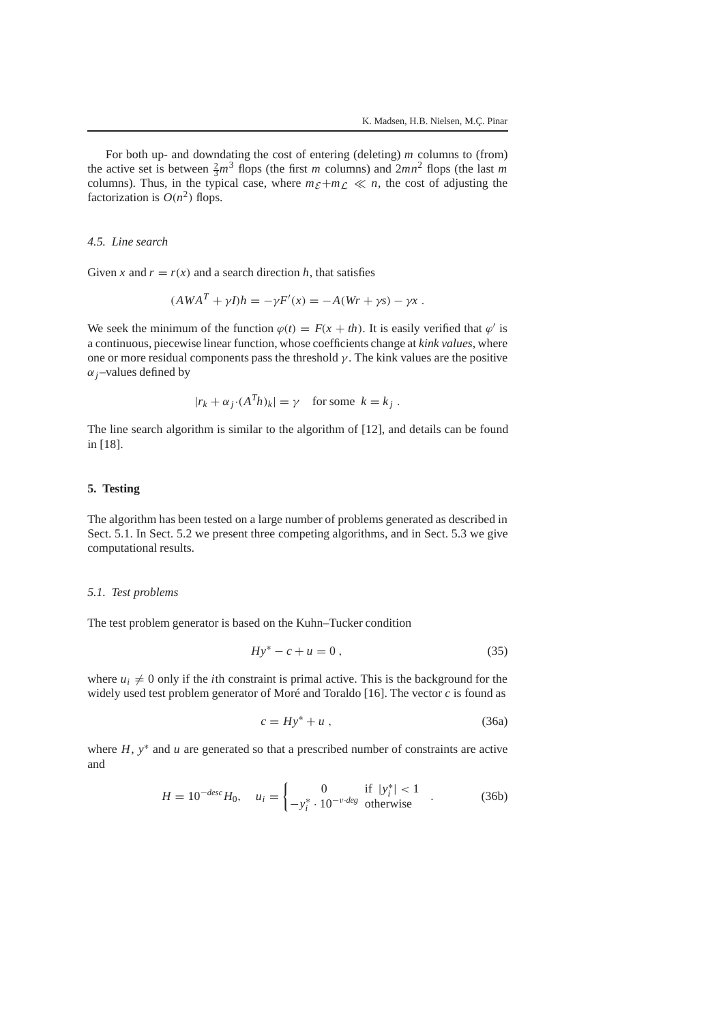For both up- and downdating the cost of entering (deleting) *m* columns to (from) the active set is between  $\frac{2}{3}m^3$  flops (the first *m* columns) and  $2mn^2$  flops (the last *m* columns). Thus, in the typical case, where  $m_{\mathcal{E}}+m_{\mathcal{L}} \ll n$ , the cost of adjusting the factorization is  $O(n^2)$  flops.

#### *4.5. Line search*

Given *x* and  $r = r(x)$  and a search direction *h*, that satisfies

$$
(AWAT + \gamma I)h = -\gamma F'(x) = -A(Wr + \gamma s) - \gamma x.
$$

We seek the minimum of the function  $\varphi(t) = F(x + th)$ . It is easily verified that  $\varphi'$  is a continuous, piecewise linear function, whose coefficients change at *kink values,* where one or more residual components pass the threshold  $\gamma$ . The kink values are the positive  $\alpha$ <sub>*j*</sub>–values defined by

$$
|r_k + \alpha_j \cdot (A^T h)_k| = \gamma \quad \text{for some } k = k_j.
$$

The line search algorithm is similar to the algorithm of [12], and details can be found in [18].

# **5. Testing**

The algorithm has been tested on a large number of problems generated as described in Sect. 5.1. In Sect. 5.2 we present three competing algorithms, and in Sect. 5.3 we give computational results.

### *5.1. Test problems*

The test problem generator is based on the Kuhn–Tucker condition

$$
Hy^* - c + u = 0, \t\t(35)
$$

where  $u_i \neq 0$  only if the *i*th constraint is primal active. This is the background for the widely used test problem generator of Moré and Toraldo [16]. The vector *c* is found as

$$
c = Hy^* + u \t{,} \t(36a)
$$

where *H*, *y*<sup>∗</sup> and *u* are generated so that a prescribed number of constraints are active and

$$
H = 10^{-desc}H_0, \quad u_i = \begin{cases} 0 & \text{if } |y_i^*| < 1\\ -y_i^* \cdot 10^{-\nu \text{ deg}} & \text{otherwise} \end{cases} . \tag{36b}
$$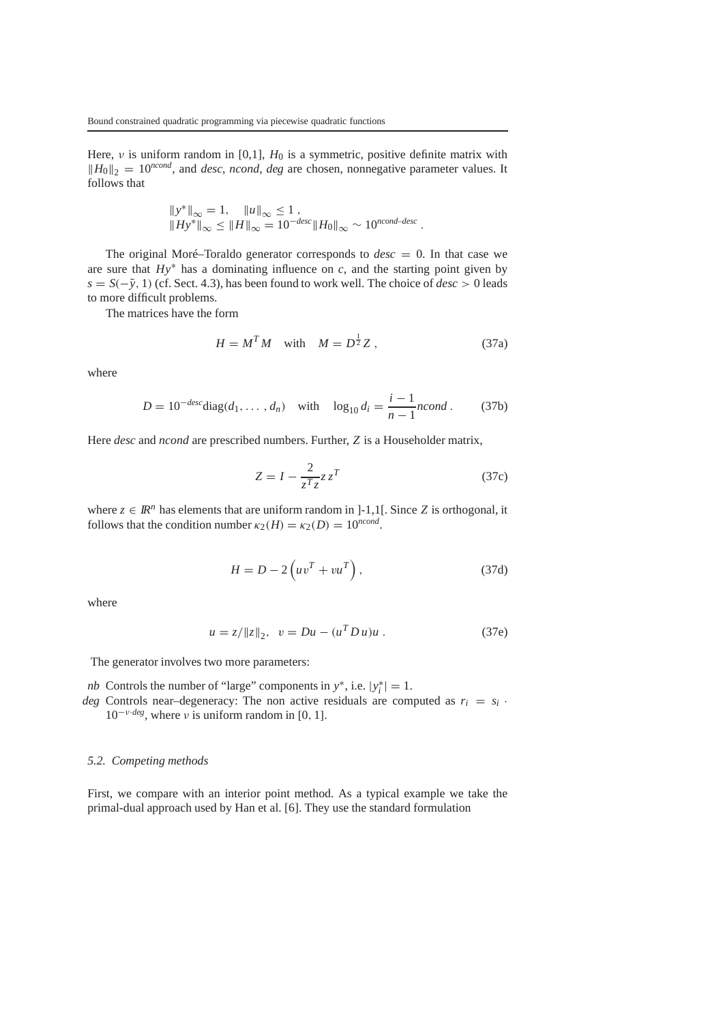Here, ν is uniform random in [0,1], *H*<sup>0</sup> is a symmetric, positive definite matrix with  $||H_0||_2 = 10^{ncond}$ , and *desc*, *ncond*, *deg* are chosen, nonnegative parameter values. It follows that

$$
\begin{aligned} ||y^*||_{\infty} &= 1, \quad ||u||_{\infty} \le 1, \\ ||Hy^*||_{\infty} &\le ||H||_{\infty} = 10^{-desc} ||H_0||_{\infty} \sim 10^{ncond-desc} \,. \end{aligned}
$$

The original Moré–Toraldo generator corresponds to  $desc = 0$ . In that case we are sure that  $Hy^*$  has a dominating influence on *c*, and the starting point given by *s* = *S*(− ˜*y*, 1) (cf. Sect. 4.3), has been found to work well. The choice of *desc* > 0 leads to more difficult problems.

The matrices have the form

$$
H = M^T M \quad \text{with} \quad M = D^{\frac{1}{2}} Z \,, \tag{37a}
$$

where

$$
D = 10^{-desc} \text{diag}(d_1, ..., d_n) \quad \text{with} \quad \log_{10} d_i = \frac{i-1}{n-1} n \text{cond}. \tag{37b}
$$

Here *desc* and *ncond* are prescribed numbers. Further, *Z* is a Householder matrix,

$$
Z = I - \frac{2}{z^T z} z z^T \tag{37c}
$$

where  $z \in \mathbb{R}^n$  has elements that are uniform random in ]-1,1[. Since *Z* is orthogonal, it follows that the condition number  $\kappa_2(H) = \kappa_2(D) = 10^{ncond}$ .

$$
H = D - 2\left(uv^{T} + vu^{T}\right),\tag{37d}
$$

where

$$
u = z / ||z||_2, \quad v = Du - (u^T D u) u . \tag{37e}
$$

The generator involves two more parameters:

- *nb* Controls the number of "large" components in  $y^*$ , i.e.  $|y_i^*| = 1$ .
- *deg* Controls near-degeneracy: The non active residuals are computed as  $r_i = s_i$ .  $10^{-\nu \cdot deg}$ , where  $\nu$  is uniform random in [0, 1].

# *5.2. Competing methods*

First, we compare with an interior point method. As a typical example we take the primal-dual approach used by Han et al. [6]. They use the standard formulation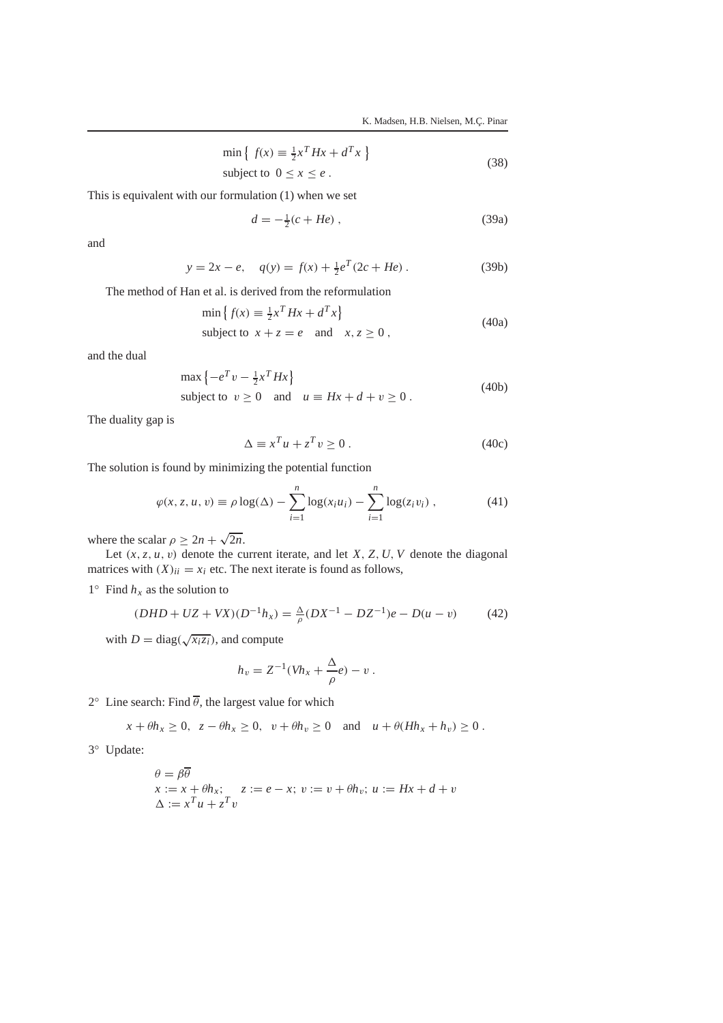$$
\min \left\{ f(x) \equiv \frac{1}{2} x^T H x + d^T x \right\}
$$
  
subject to  $0 \le x \le e$ . (38)

This is equivalent with our formulation (1) when we set

$$
d = -\frac{1}{2}(c + He) \tag{39a}
$$

and

$$
y = 2x - e, \quad q(y) = f(x) + \frac{1}{2}e^{T}(2c + He).
$$
 (39b)

The method of Han et al. is derived from the reformulation

$$
\min \left\{ f(x) \equiv \frac{1}{2} x^T H x + d^T x \right\}
$$
  
subject to  $x + z = e$  and  $x, z \ge 0$ , (40a)

and the dual

$$
\max \left\{ -e^T v - \frac{1}{2} x^T H x \right\}
$$
  
subject to  $v \ge 0$  and  $u \equiv Hx + d + v \ge 0$ . (40b)

The duality gap is

$$
\Delta \equiv x^T u + z^T v \ge 0. \tag{40c}
$$

The solution is found by minimizing the potential function

$$
\varphi(x, z, u, v) \equiv \rho \log(\Delta) - \sum_{i=1}^{n} \log(x_i u_i) - \sum_{i=1}^{n} \log(z_i v_i) , \qquad (41)
$$

where the scalar  $\rho \geq 2n + \sqrt{2n}$ .

Let  $(x, z, u, v)$  denote the current iterate, and let *X*, *Z*, *U*, *V* denote the diagonal matrices with  $(X)_{ii} = x_i$  etc. The next iterate is found as follows,

 $1°$  Find  $h_x$  as the solution to

$$
(DHD + UZ + VX)(D^{-1}h_x) = \frac{\Delta}{\rho}(DX^{-1} - DZ^{-1})e - D(u - v)
$$
(42)

with  $D = diag(\sqrt{x_i z_i})$ , and compute

$$
h_v = Z^{-1}(Vh_x + \frac{\Delta}{\rho}e) - v.
$$

2 $\degree$  Line search: Find  $\theta$ , the largest value for which

$$
x + \theta h_x \ge 0
$$
,  $z - \theta h_x \ge 0$ ,  $v + \theta h_v \ge 0$  and  $u + \theta (Hh_x + h_v) \ge 0$ .

3◦ Update:

$$
\theta = \beta \overline{\theta}
$$
  

$$
x := x + \theta h_x; \quad z := e - x; \ v := v + \theta h_v; \ u := Hx + d + v
$$
  

$$
\Delta := x^T u + z^T v
$$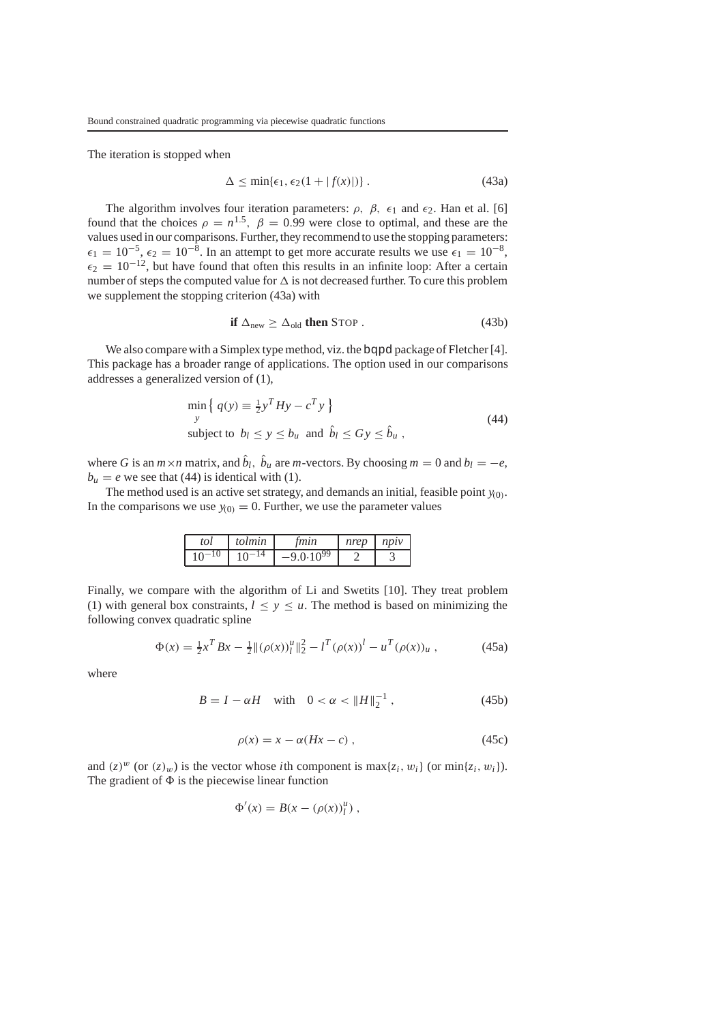The iteration is stopped when

$$
\Delta \le \min\{\epsilon_1, \epsilon_2(1+|f(x)|)\} \,. \tag{43a}
$$

The algorithm involves four iteration parameters:  $\rho$ ,  $\beta$ ,  $\epsilon_1$  and  $\epsilon_2$ . Han et al. [6] found that the choices  $\rho = n^{1.5}$ ,  $\beta = 0.99$  were close to optimal, and these are the values used in our comparisons. Further, they recommend to use the stopping parameters:  $\epsilon_1 = 10^{-5}$ ,  $\epsilon_2 = 10^{-8}$ . In an attempt to get more accurate results we use  $\epsilon_1 = 10^{-8}$ ,  $\epsilon_2 = 10^{-12}$ , but have found that often this results in an infinite loop: After a certain number of steps the computed value for  $\Delta$  is not decreased further. To cure this problem we supplement the stopping criterion (43a) with

$$
\text{if } \Delta_{new} \ge \Delta_{old} \text{ then } \text{STOP} \ . \tag{43b}
$$

We also compare with a Simplex type method, viz. the bqpd package of Fletcher [4]. This package has a broader range of applications. The option used in our comparisons addresses a generalized version of (1),

$$
\min_{y} \left\{ q(y) \equiv \frac{1}{2} y^T H y - c^T y \right\}
$$
\n
$$
\text{subject to } b_l \le y \le b_u \text{ and } \hat{b}_l \le Gy \le \hat{b}_u,
$$
\n
$$
(44)
$$

where *G* is an  $m \times n$  matrix, and  $\hat{b}_l$ ,  $\hat{b}_u$  are  $m$ -vectors. By choosing  $m = 0$  and  $b_l = -e$ ,  $b_u = e$  we see that (44) is identical with (1).

The method used is an active set strategy, and demands an initial, feasible point  $y_{(0)}$ . In the comparisons we use  $y_{(0)} = 0$ . Further, we use the parameter values

| tol | tolmin | tmin | nrep | $n$ p $\nu$ |
|-----|--------|------|------|-------------|
|     |        | 0.99 |      |             |

Finally, we compare with the algorithm of Li and Swetits [10]. They treat problem (1) with general box constraints,  $l \le y \le u$ . The method is based on minimizing the following convex quadratic spline

$$
\Phi(x) = \frac{1}{2}x^T Bx - \frac{1}{2} ||(\rho(x))_l^u||_2^2 - l^T (\rho(x))^l - u^T (\rho(x))_u , \qquad (45a)
$$

where

$$
B = I - \alpha H \quad \text{with} \quad 0 < \alpha < \|H\|_2^{-1} \,, \tag{45b}
$$

$$
\rho(x) = x - \alpha (Hx - c) \tag{45c}
$$

and  $(z)^{w}$  (or  $(z)_{w}$ ) is the vector whose *i*th component is max $\{z_i, w_i\}$  (or min $\{z_i, w_i\}$ ). The gradient of  $\Phi$  is the piecewise linear function

$$
\Phi'(x) = B(x - (\rho(x))_l^u),
$$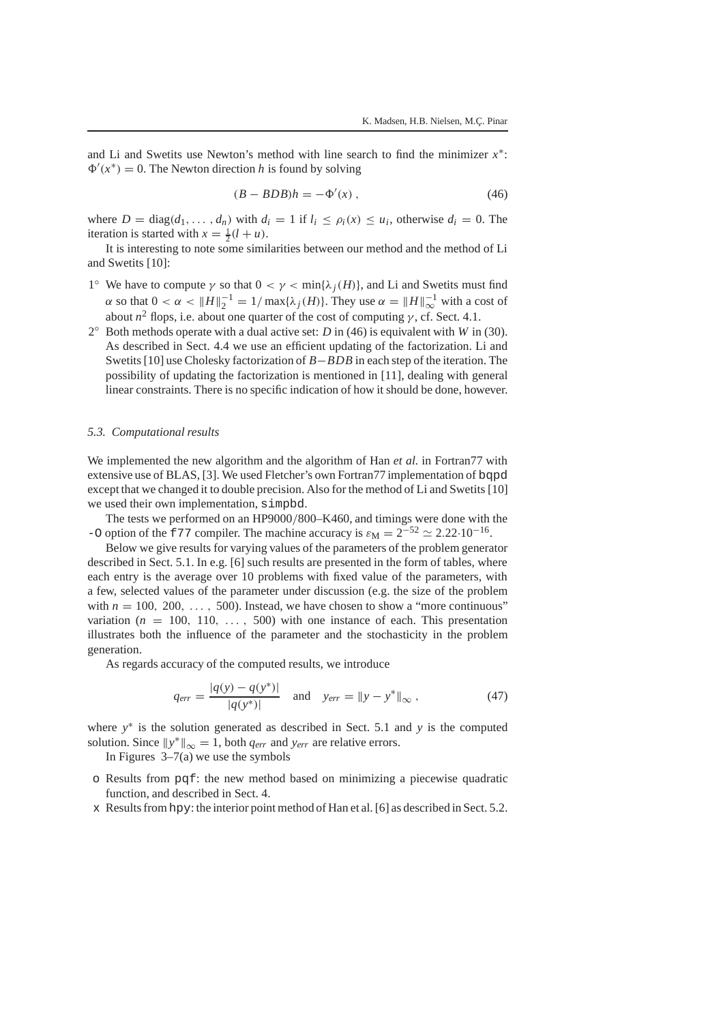and Li and Swetits use Newton's method with line search to find the minimizer *x*∗:  $\Phi'(x^*) = 0$ . The Newton direction *h* is found by solving

$$
(B - BDB)h = -\Phi'(x) , \qquad (46)
$$

where  $D = \text{diag}(d_1, \ldots, d_n)$  with  $d_i = 1$  if  $l_i \leq \rho_i(x) \leq u_i$ , otherwise  $d_i = 0$ . The iteration is started with  $x = \frac{1}{2}(l + u)$ .

It is interesting to note some similarities between our method and the method of Li and Swetits [10]:

- 1<sup>°</sup> We have to compute  $\gamma$  so that  $0 < \gamma < \min{\lambda_i(H)}$ , and Li and Swetits must find  $\alpha$  so that  $0 < \alpha < ||H||_2^{-1} = 1/\max{\{\lambda_j(H)\}}$ . They use  $\alpha = ||H||_{\infty}^{-1}$  with a cost of about  $n^2$  flops, i.e. about one quarter of the cost of computing  $\gamma$ , cf. Sect. 4.1.
- 2◦ Both methods operate with a dual active set: *D* in (46) is equivalent with *W* in (30). As described in Sect. 4.4 we use an efficient updating of the factorization. Li and Swetits [10] use Cholesky factorization of *B*−*BDB* in each step of the iteration. The possibility of updating the factorization is mentioned in [11], dealing with general linear constraints. There is no specific indication of how it should be done, however.

#### *5.3. Computational results*

We implemented the new algorithm and the algorithm of Han *et al.* in Fortran77 with extensive use of BLAS, [3]. We used Fletcher's own Fortran77 implementation of bqpd except that we changed it to double precision. Also for the method of Li and Swetits [10] we used their own implementation, simpbd.

The tests we performed on an HP9000/800–K460, and timings were done with the -O option of the f77 compiler. The machine accuracy is  $\varepsilon_M = 2^{-52} \approx 2.22 \cdot 10^{-16}$ .

Below we give results for varying values of the parameters of the problem generator described in Sect. 5.1. In e.g. [6] such results are presented in the form of tables, where each entry is the average over 10 problems with fixed value of the parameters, with a few, selected values of the parameter under discussion (e.g. the size of the problem with  $n = 100, 200, \ldots, 500$ . Instead, we have chosen to show a "more continuous" variation  $(n = 100, 110, \ldots, 500)$  with one instance of each. This presentation illustrates both the influence of the parameter and the stochasticity in the problem generation.

As regards accuracy of the computed results, we introduce

$$
q_{err} = \frac{|q(y) - q(y^*)|}{|q(y^*)|} \quad \text{and} \quad y_{err} = ||y - y^*||_{\infty}, \tag{47}
$$

where *y*<sup>∗</sup> is the solution generated as described in Sect. 5.1 and *y* is the computed solution. Since  $||y^*||_{\infty} = 1$ , both  $q_{err}$  and  $y_{err}$  are relative errors.

In Figures  $3-7(a)$  we use the symbols

- o Results from pqf: the new method based on minimizing a piecewise quadratic function, and described in Sect. 4.
- x Results fromhpy: the interior point method of Han et al. [6] as described in Sect. 5.2.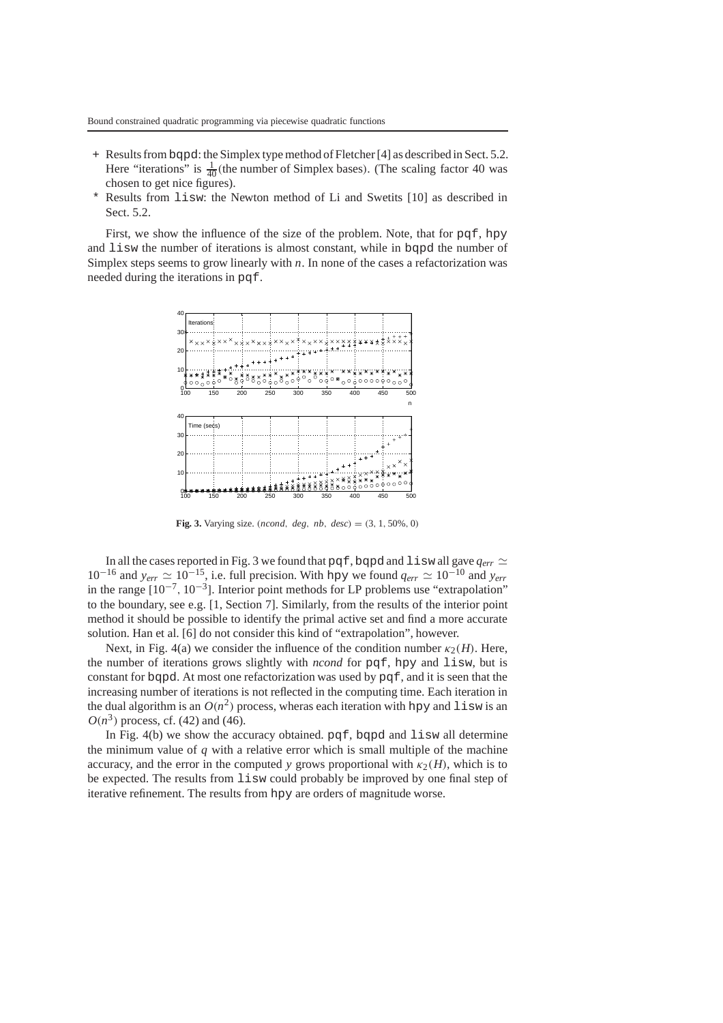- + Results frombqpd: the Simplex type method of Fletcher [4] as described in Sect. 5.2. Here "iterations" is  $\frac{1}{40}$ (the number of Simplex bases). (The scaling factor 40 was chosen to get nice figures).
- \* Results from lisw: the Newton method of Li and Swetits [10] as described in Sect. 5.2.

First, we show the influence of the size of the problem. Note, that for pqf, hpy and lisw the number of iterations is almost constant, while in bqpd the number of Simplex steps seems to grow linearly with *n*. In none of the cases a refactorization was needed during the iterations in pqf.



**Fig. 3.** Varying size. (*ncond*, *deg*, *nb*, *desc*) = (3, 1, 50%, 0)

In all the cases reported in Fig. 3 we found that pqf, bqpd and lisw all gave  $q_{err} \simeq$ 10<sup>−16</sup> and  $y_{err}$   $\approx$  10<sup>−15</sup>, i.e. full precision. With hpy we found  $q_{err}$   $\approx$  10<sup>−10</sup> and  $y_{err}$ in the range  $[10^{-7}, 10^{-3}]$ . Interior point methods for LP problems use "extrapolation" to the boundary, see e.g. [1, Section 7]. Similarly, from the results of the interior point method it should be possible to identify the primal active set and find a more accurate solution. Han et al. [6] do not consider this kind of "extrapolation", however.

Next, in Fig. 4(a) we consider the influence of the condition number  $\kappa_2(H)$ . Here, the number of iterations grows slightly with *ncond* for pqf, hpy and lisw, but is constant for bqpd. At most one refactorization was used by pqf, and it is seen that the increasing number of iterations is not reflected in the computing time. Each iteration in the dual algorithm is an  $O(n^2)$  process, wheras each iteration with hpy and lisw is an  $O(n^3)$  process, cf. (42) and (46).

In Fig.  $4(b)$  we show the accuracy obtained. pqf, bqpd and lisw all determine the minimum value of *q* with a relative error which is small multiple of the machine accuracy, and the error in the computed *y* grows proportional with  $\kappa_2(H)$ , which is to be expected. The results from lisw could probably be improved by one final step of iterative refinement. The results from hpy are orders of magnitude worse.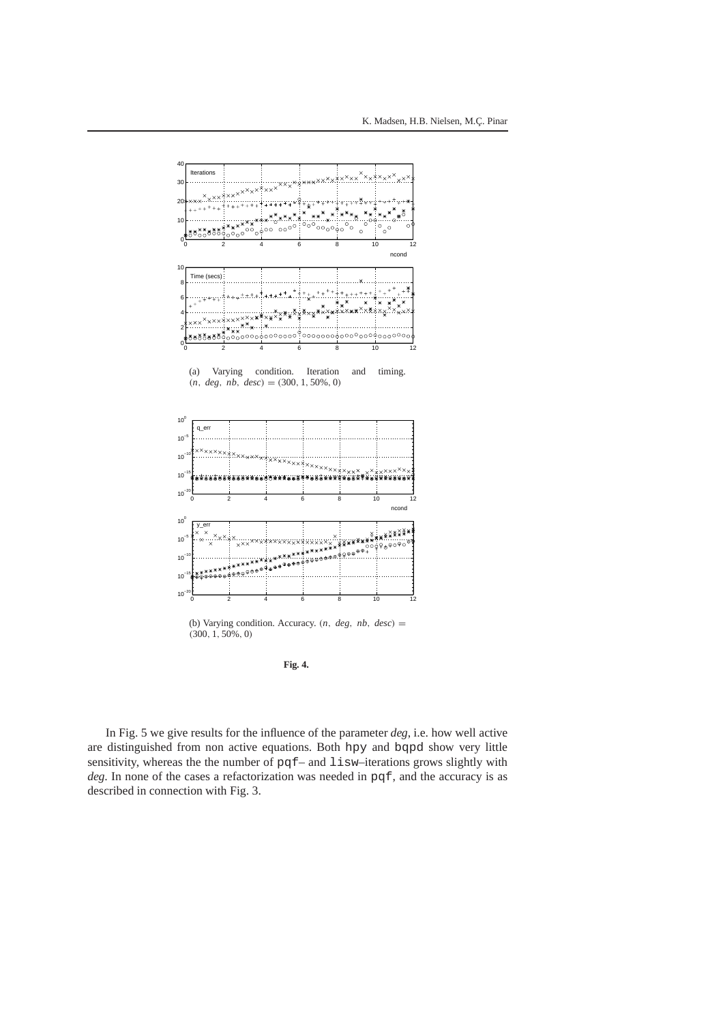

**Fig. 4.**

In Fig. 5 we give results for the influence of the parameter *deg*, i.e. how well active are distinguished from non active equations. Both hpy and bqpd show very little sensitivity, whereas the the number of pqf– and lisw–iterations grows slightly with *deg*. In none of the cases a refactorization was needed in pqf, and the accuracy is as described in connection with Fig. 3.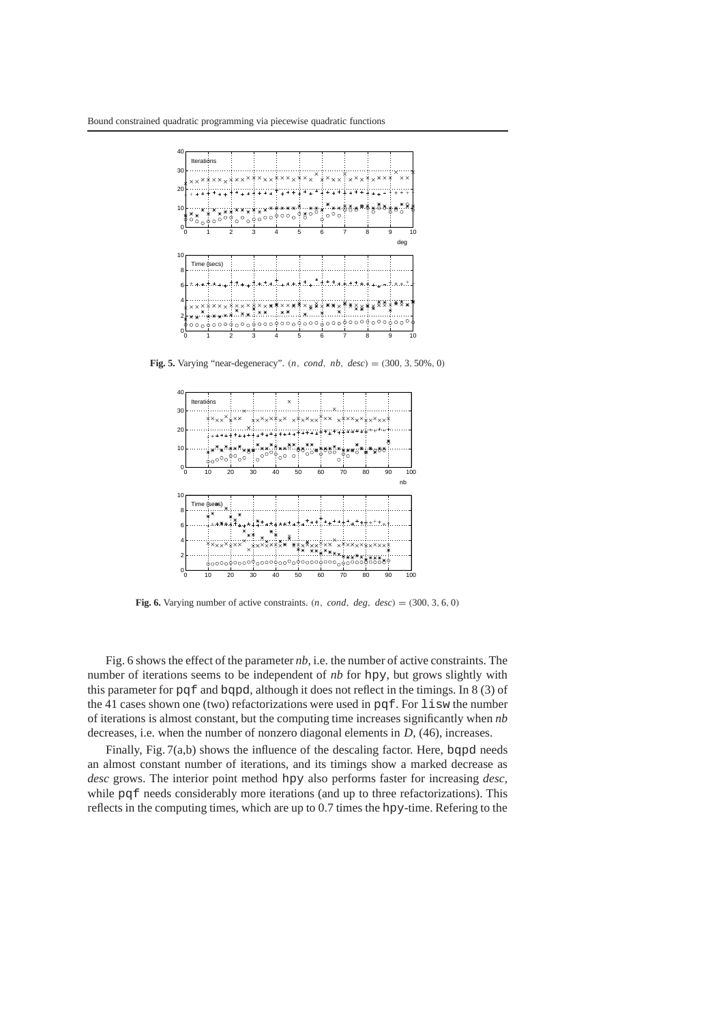

**Fig. 5.** Varying "near-degeneracy". (*n*, *cond*, *nb*, *desc*) = (300, 3, 50%, 0)



**Fig. 6.** Varying number of active constraints.  $(n, cond, deg, desc) = (300, 3, 6, 0)$ 

Fig. 6 shows the effect of the parameter *nb,* i.e. the number of active constraints. The number of iterations seems to be independent of *nb* for hpy, but grows slightly with this parameter for pqf and bqpd, although it does not reflect in the timings. In 8 (3) of the 41 cases shown one (two) refactorizations were used in pqf. For lisw the number of iterations is almost constant, but the computing time increases significantly when *nb* decreases, i.e. when the number of nonzero diagonal elements in *D*, (46), increases.

Finally, Fig.  $7(a,b)$  shows the influence of the descaling factor. Here, bqpd needs an almost constant number of iterations, and its timings show a marked decrease as *desc* grows. The interior point method hpy also performs faster for increasing *desc,* while pqf needs considerably more iterations (and up to three refactorizations). This reflects in the computing times, which are up to 0.7 times the hpy-time. Refering to the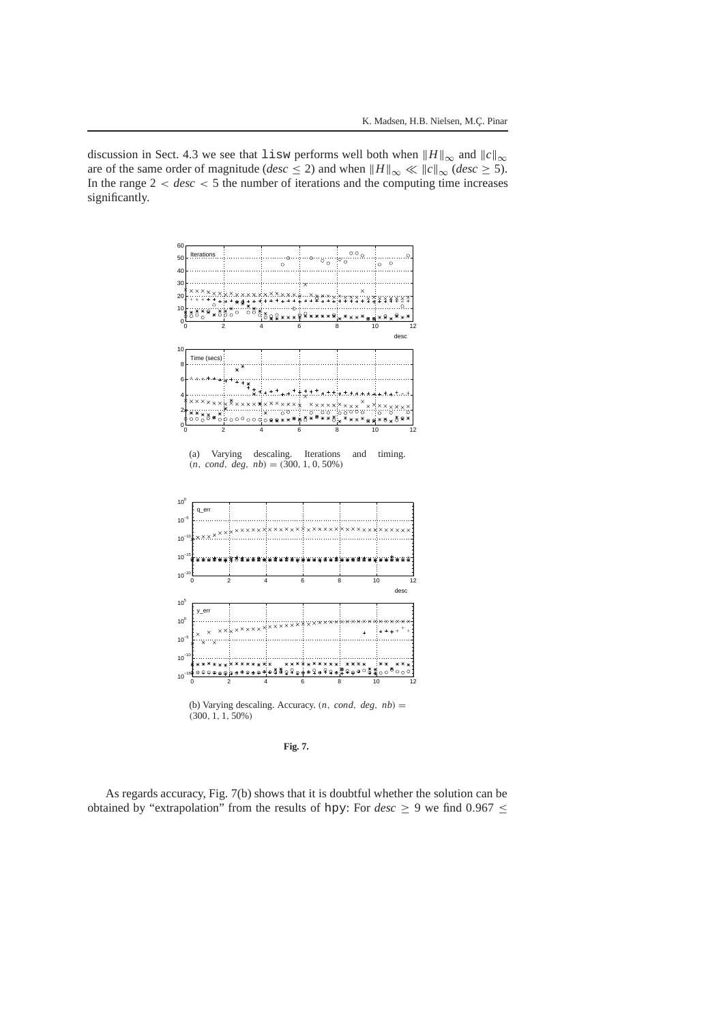discussion in Sect. 4.3 we see that lisw performs well both when  $||H||_{\infty}$  and  $||c||_{\infty}$ are of the same order of magnitude (*desc*  $\leq$  2) and when  $\|H\|_{\infty} \ll \|c\|_{\infty} (desc \geq 5)$ . In the range  $2 < desc < 5$  the number of iterations and the computing time increases significantly.



(a) Varying descaling. Iterations and timing.  $(n, cond, deg, nb) = (300, 1, 0, 50\%)$ 



**Fig. 7.**

As regards accuracy, Fig. 7(b) shows that it is doubtful whether the solution can be obtained by "extrapolation" from the results of hpy: For  $desc \ge 9$  we find  $0.967 \le$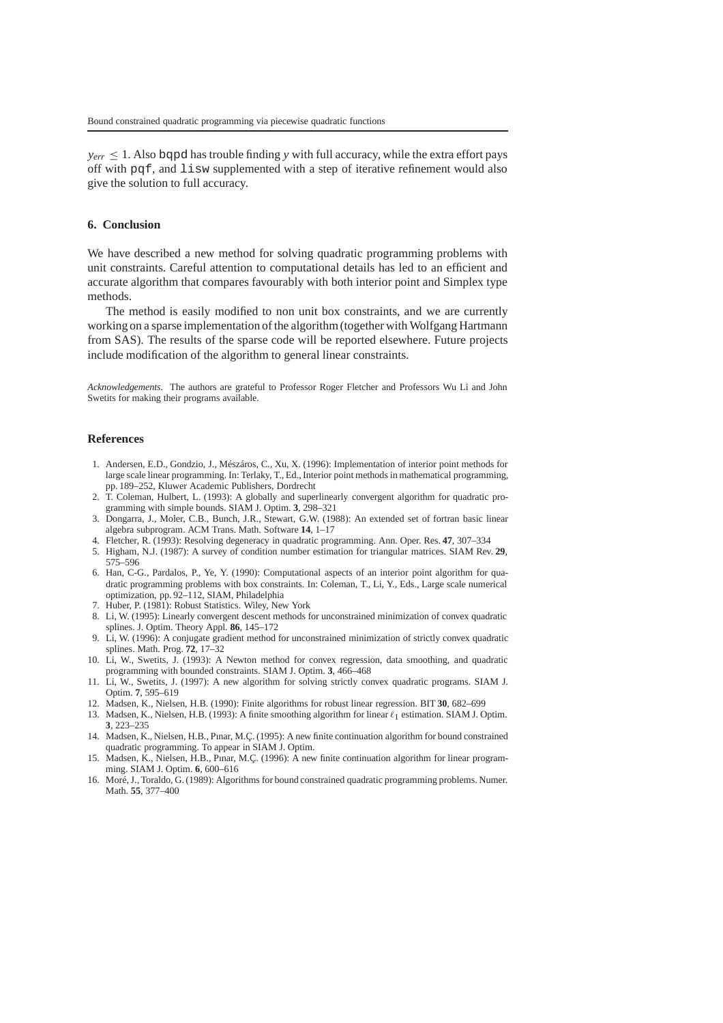$y_{err} \leq 1$ . Also bqpd has trouble finding *y* with full accuracy, while the extra effort pays off with pqf, and lisw supplemented with a step of iterative refinement would also give the solution to full accuracy.

## **6. Conclusion**

We have described a new method for solving quadratic programming problems with unit constraints. Careful attention to computational details has led to an efficient and accurate algorithm that compares favourably with both interior point and Simplex type methods.

The method is easily modified to non unit box constraints, and we are currently working on a sparse implementation of the algorithm (together with Wolfgang Hartmann from SAS). The results of the sparse code will be reported elsewhere. Future projects include modification of the algorithm to general linear constraints.

*Acknowledgements.* The authors are grateful to Professor Roger Fletcher and Professors Wu Li and John Swetits for making their programs available.

#### **References**

- 1. Andersen, E.D., Gondzio, J., Mészáros, C., Xu, X. (1996): Implementation of interior point methods for large scale linear programming. In: Terlaky, T., Ed., Interior point methods in mathematical programming, pp. 189–252, Kluwer Academic Publishers, Dordrecht
- 2. T. Coleman, Hulbert, L. (1993): A globally and superlinearly convergent algorithm for quadratic programming with simple bounds. SIAM J. Optim. **3**, 298–321
- 3. Dongarra, J., Moler, C.B., Bunch, J.R., Stewart, G.W. (1988): An extended set of fortran basic linear algebra subprogram. ACM Trans. Math. Software **14**, 1–17
- 4. Fletcher, R. (1993): Resolving degeneracy in quadratic programming. Ann. Oper. Res. **47**, 307–334
- 5. Higham, N.J. (1987): A survey of condition number estimation for triangular matrices. SIAM Rev. **29**, 575–596
- 6. Han, C-G., Pardalos, P., Ye, Y. (1990): Computational aspects of an interior point algorithm for quadratic programming problems with box constraints. In: Coleman, T., Li, Y., Eds., Large scale numerical optimization, pp. 92–112, SIAM, Philadelphia
- 7. Huber, P. (1981): Robust Statistics. Wiley, New York
- 8. Li, W. (1995): Linearly convergent descent methods for unconstrained minimization of convex quadratic splines. J. Optim. Theory Appl. **86**, 145–172
- 9. Li, W. (1996): A conjugate gradient method for unconstrained minimization of strictly convex quadratic splines. Math. Prog. **72**, 17–32
- 10. Li, W., Swetits, J. (1993): A Newton method for convex regression, data smoothing, and quadratic programming with bounded constraints. SIAM J. Optim. **3**, 466–468
- 11. Li, W., Swetits, J. (1997): A new algorithm for solving strictly convex quadratic programs. SIAM J. Optim. **7**, 595–619
- 12. Madsen, K., Nielsen, H.B. (1990): Finite algorithms for robust linear regression. BIT **30**, 682–699
- 13. Madsen, K., Nielsen, H.B. (1993): A finite smoothing algorithm for linear  $\ell_1$  estimation. SIAM J. Optim. **3**, 223–235
- 14. Madsen, K., Nielsen, H.B., Pınar, M.Ç. (1995): A new finite continuation algorithm for bound constrained quadratic programming. To appear in SIAM J. Optim.
- 15. Madsen, K., Nielsen, H.B., Pınar, M.Ç. (1996): A new finite continuation algorithm for linear programming. SIAM J. Optim. **6**, 600–616
- 16. Moré, J., Toraldo, G. (1989): Algorithms for bound constrained quadratic programming problems. Numer. Math. **55**, 377–400